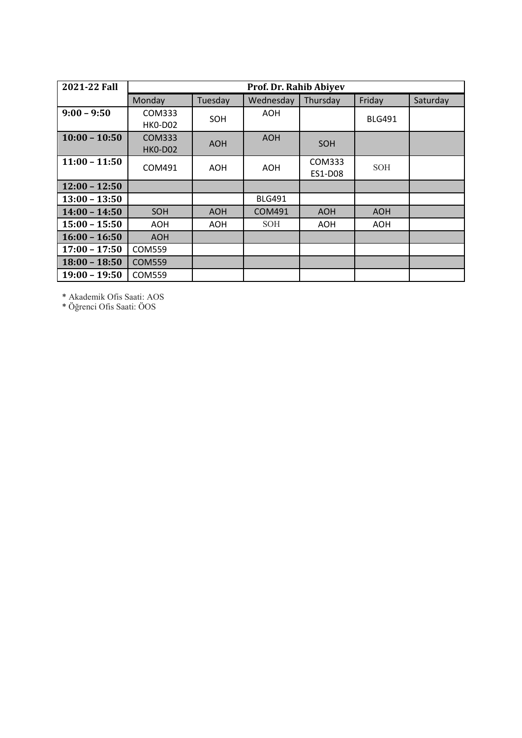| 2021-22 Fall    |                |            | Prof. Dr. Rahib Abiyev |                   |               |          |
|-----------------|----------------|------------|------------------------|-------------------|---------------|----------|
|                 | Monday         | Tuesday    | Wednesday              | Thursday          | Friday        | Saturday |
| $9:00 - 9:50$   | COM333         | SOH        | AOH.                   |                   | <b>BLG491</b> |          |
|                 | HKO-DO2        |            |                        |                   |               |          |
| $10:00 - 10:50$ | COM333         | <b>AOH</b> | <b>AOH</b>             | SOH               |               |          |
|                 | <b>HKO-DO2</b> |            |                        |                   |               |          |
| $11:00 - 11:50$ | COM491         | <b>AOH</b> | AOH                    | COM333<br>ES1-D08 | <b>SOH</b>    |          |
| $12:00 - 12:50$ |                |            |                        |                   |               |          |
| $13:00 - 13:50$ |                |            | <b>BLG491</b>          |                   |               |          |
| $14:00 - 14:50$ | SOH            | <b>AOH</b> | <b>COM491</b>          | <b>AOH</b>        | <b>AOH</b>    |          |
| $15:00 - 15:50$ | AOH            | <b>AOH</b> | <b>SOH</b>             | <b>AOH</b>        | AOH.          |          |
| $16:00 - 16:50$ | <b>AOH</b>     |            |                        |                   |               |          |
| $17:00 - 17:50$ | COM559         |            |                        |                   |               |          |
| $18:00 - 18:50$ | <b>COM559</b>  |            |                        |                   |               |          |
| $19:00 - 19:50$ | <b>COM559</b>  |            |                        |                   |               |          |

\* Akademik Ofis Saati: AOS

\* Öğrenci Ofis Saati: ÖOS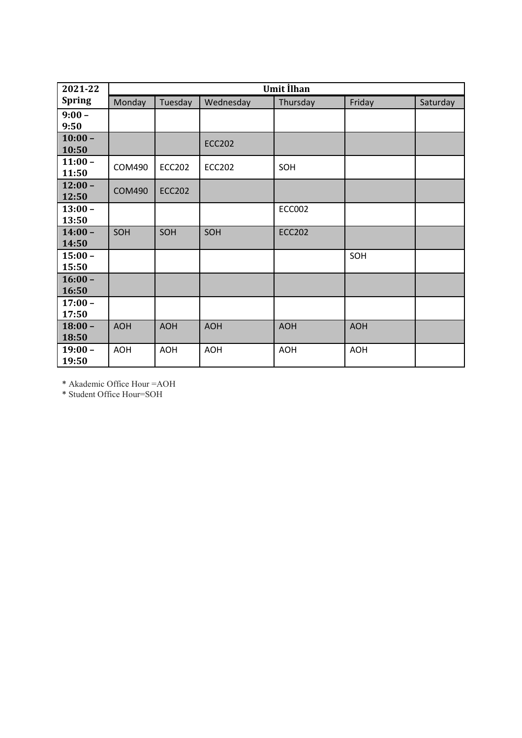| 2021-22            |               |               |               | <b>Umit İlhan</b> |            |          |
|--------------------|---------------|---------------|---------------|-------------------|------------|----------|
| <b>Spring</b>      | Monday        | Tuesday       | Wednesday     | Thursday          | Friday     | Saturday |
| $9:00 -$<br>9:50   |               |               |               |                   |            |          |
| $10:00 -$<br>10:50 |               |               | <b>ECC202</b> |                   |            |          |
| $11:00 -$<br>11:50 | <b>COM490</b> | <b>ECC202</b> | <b>ECC202</b> | SOH               |            |          |
| $12:00 -$<br>12:50 | <b>COM490</b> | <b>ECC202</b> |               |                   |            |          |
| $13:00 -$<br>13:50 |               |               |               | <b>ECC002</b>     |            |          |
| $14:00 -$<br>14:50 | SOH           | SOH           | SOH           | <b>ECC202</b>     |            |          |
| $15:00 -$<br>15:50 |               |               |               |                   | SOH        |          |
| $16:00 -$<br>16:50 |               |               |               |                   |            |          |
| $17:00 -$<br>17:50 |               |               |               |                   |            |          |
| $18:00 -$<br>18:50 | <b>AOH</b>    | <b>AOH</b>    | <b>AOH</b>    | <b>AOH</b>        | <b>AOH</b> |          |
| $19:00 -$<br>19:50 | <b>AOH</b>    | <b>AOH</b>    | <b>AOH</b>    | <b>AOH</b>        | <b>AOH</b> |          |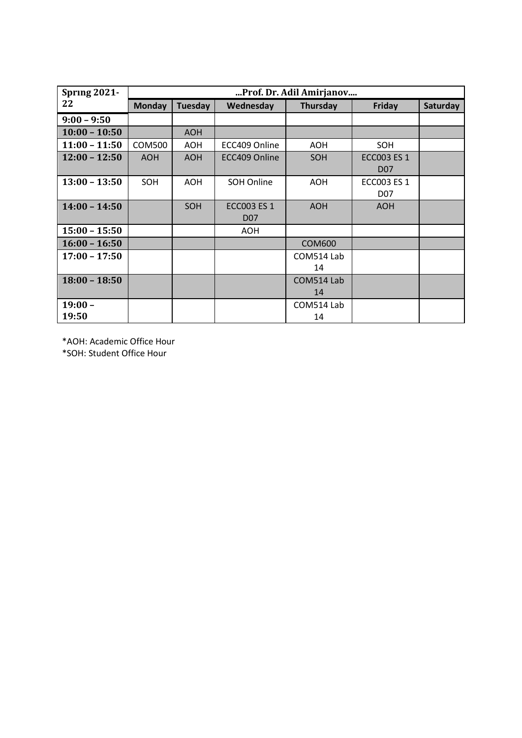| <b>Spring 2021-</b> |               |            |                    | Prof. Dr. Adil Amirjanov |                    | Saturday |  |  |  |  |
|---------------------|---------------|------------|--------------------|--------------------------|--------------------|----------|--|--|--|--|
| 22                  | <b>Monday</b> | Tuesday    | Wednesday          | Thursday                 | Friday             |          |  |  |  |  |
| $9:00 - 9:50$       |               |            |                    |                          |                    |          |  |  |  |  |
| $10:00 - 10:50$     |               | <b>AOH</b> |                    |                          |                    |          |  |  |  |  |
| $11:00 - 11:50$     | COM500        | <b>AOH</b> | ECC409 Online      | <b>AOH</b>               | SOH                |          |  |  |  |  |
| $12:00 - 12:50$     | <b>AOH</b>    | <b>AOH</b> | ECC409 Online      | SOH                      | <b>ECC003 ES 1</b> |          |  |  |  |  |
|                     |               |            |                    |                          | D <sub>07</sub>    |          |  |  |  |  |
| $13:00 - 13:50$     | SOH           | <b>AOH</b> | SOH Online         | <b>AOH</b>               | <b>ECC003 ES 1</b> |          |  |  |  |  |
|                     |               |            |                    |                          | D07                |          |  |  |  |  |
| $14:00 - 14:50$     |               | SOH        | <b>ECC003 ES 1</b> | <b>AOH</b>               | <b>AOH</b>         |          |  |  |  |  |
|                     |               |            | <b>D07</b>         |                          |                    |          |  |  |  |  |
| $15:00 - 15:50$     |               |            | AOH                |                          |                    |          |  |  |  |  |
| $16:00 - 16:50$     |               |            |                    | <b>COM600</b>            |                    |          |  |  |  |  |
| $17:00 - 17:50$     |               |            |                    | COM514 Lab               |                    |          |  |  |  |  |
|                     |               |            |                    | 14                       |                    |          |  |  |  |  |
| $18:00 - 18:50$     |               |            |                    | COM514 Lab               |                    |          |  |  |  |  |
|                     |               |            |                    | 14                       |                    |          |  |  |  |  |
| $19:00 -$           |               |            |                    | COM514 Lab               |                    |          |  |  |  |  |
| 19:50               |               |            |                    | 14                       |                    |          |  |  |  |  |

\*AOH: Academic Office Hour

\*SOH: Student Office Hour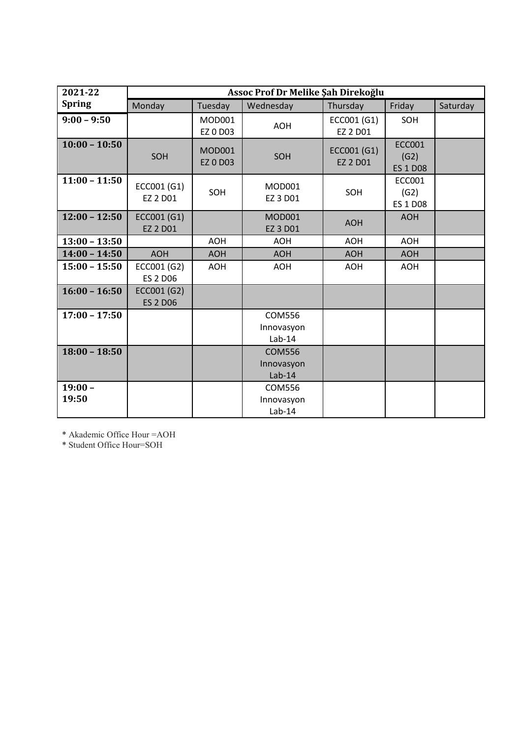| 2021-22            |                                |                                  | Assoc Prof Dr Melike Şah Direkoğlu      |                                |                                          |          |
|--------------------|--------------------------------|----------------------------------|-----------------------------------------|--------------------------------|------------------------------------------|----------|
| <b>Spring</b>      | Monday                         | Tuesday                          | Wednesday                               | Thursday                       | Friday                                   | Saturday |
| $9:00 - 9:50$      |                                | MOD001<br>EZ 0 D03               | <b>AOH</b>                              | ECC001 (G1)<br>EZ 2 D01        | SOH                                      |          |
| $10:00 - 10:50$    | SOH                            | <b>MOD001</b><br><b>EZ 0 D03</b> | SOH                                     | ECC001 (G1)<br><b>EZ 2 D01</b> | <b>ECC001</b><br>(G2)<br><b>ES 1 D08</b> |          |
| $11:00 - 11:50$    | ECC001 (G1)<br>EZ 2 D01        | SOH                              | <b>MOD001</b><br>EZ 3 D01               | SOH                            | <b>ECC001</b><br>(G2)<br><b>ES 1 D08</b> |          |
| $12:00 - 12:50$    | ECC001 (G1)<br><b>EZ 2 D01</b> |                                  | <b>MOD001</b><br>EZ 3 D01               | <b>AOH</b>                     | <b>AOH</b>                               |          |
| $13:00 - 13:50$    |                                | <b>AOH</b>                       | <b>AOH</b>                              | <b>AOH</b>                     | <b>AOH</b>                               |          |
| $14:00 - 14:50$    | <b>AOH</b>                     | <b>AOH</b>                       | <b>AOH</b>                              | <b>AOH</b>                     | <b>AOH</b>                               |          |
| $15:00 - 15:50$    | ECC001 (G2)<br><b>ES 2 D06</b> | <b>AOH</b>                       | <b>AOH</b>                              | <b>AOH</b>                     | <b>AOH</b>                               |          |
| $16:00 - 16:50$    | ECC001 (G2)<br><b>ES 2 D06</b> |                                  |                                         |                                |                                          |          |
| $17:00 - 17:50$    |                                |                                  | <b>COM556</b><br>Innovasyon<br>$Lab-14$ |                                |                                          |          |
| $18:00 - 18:50$    |                                |                                  | <b>COM556</b><br>Innovasyon<br>$Lab-14$ |                                |                                          |          |
| $19:00 -$<br>19:50 |                                |                                  | <b>COM556</b><br>Innovasyon<br>$Lab-14$ |                                |                                          |          |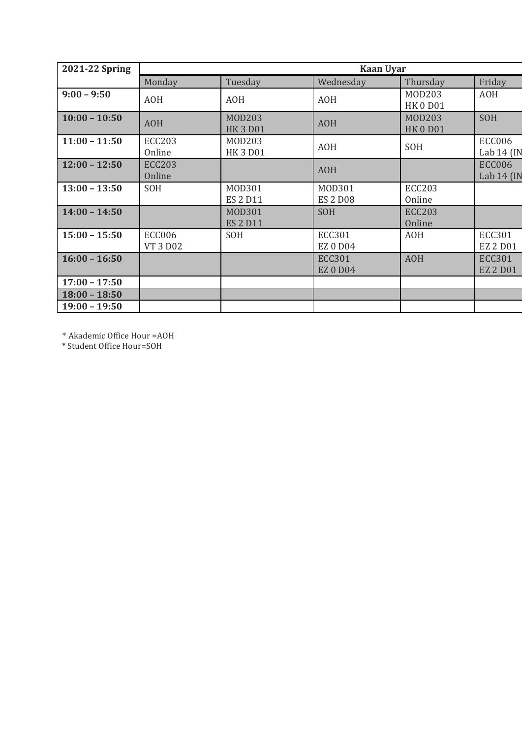| 2021-22 Spring  |                                  |                                  | <b>Kaan Uyar</b>                 |                                |                                  |
|-----------------|----------------------------------|----------------------------------|----------------------------------|--------------------------------|----------------------------------|
|                 | Monday                           | Tuesday                          | Wednesday                        | Thursday                       | Friday                           |
| $9:00 - 9:50$   | <b>AOH</b>                       | <b>AOH</b>                       | <b>AOH</b>                       | MOD203<br><b>HK0D01</b>        | <b>AOH</b>                       |
| $10:00 - 10:50$ | <b>AOH</b>                       | <b>MOD203</b><br><b>HK3D01</b>   | <b>AOH</b>                       | <b>MOD203</b><br><b>HK0D01</b> | SOH                              |
| $11:00 - 11:50$ | <b>ECC203</b><br>Online          | M0D203<br><b>HK3D01</b>          | <b>AOH</b>                       | SOH                            | <b>ECC006</b><br>Lab 14 (IN      |
| $12:00 - 12:50$ | <b>ECC203</b><br>Online          |                                  | <b>AOH</b>                       |                                | <b>ECC006</b><br>Lab 14 (IN      |
| $13:00 - 13:50$ | SOH                              | M0D301<br><b>ES 2 D11</b>        | M0D301<br><b>ES 2 D08</b>        | <b>ECC203</b><br>Online        |                                  |
| $14:00 - 14:50$ |                                  | <b>MOD301</b><br><b>ES 2 D11</b> | SOH                              | <b>ECC203</b><br>Online        |                                  |
| $15:00 - 15:50$ | <b>ECC006</b><br><b>VT 3 D02</b> | SOH                              | <b>ECC301</b><br><b>EZ0D04</b>   | <b>AOH</b>                     | <b>ECC301</b><br><b>EZ 2 D01</b> |
| $16:00 - 16:50$ |                                  |                                  | <b>ECC301</b><br><b>EZ 0 D04</b> | <b>AOH</b>                     | <b>ECC301</b><br><b>EZ 2 D01</b> |
| $17:00 - 17:50$ |                                  |                                  |                                  |                                |                                  |
| $18:00 - 18:50$ |                                  |                                  |                                  |                                |                                  |
| $19:00 - 19:50$ |                                  |                                  |                                  |                                |                                  |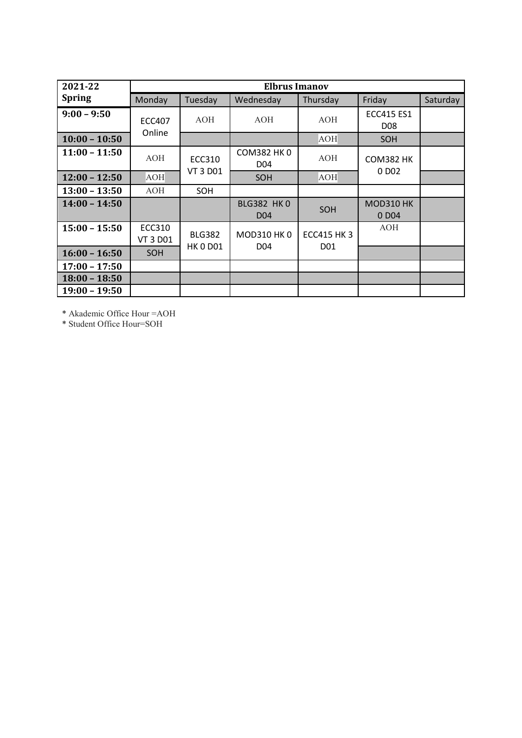| 2021-22         |                         |                                  | <b>Elbrus Imanov</b>                 |                          |                                        |          |
|-----------------|-------------------------|----------------------------------|--------------------------------------|--------------------------|----------------------------------------|----------|
| <b>Spring</b>   | Monday                  | Tuesday                          | Wednesday                            | Thursday                 | Friday                                 | Saturday |
| $9:00 - 9:50$   | <b>ECC407</b><br>Online | <b>AOH</b>                       | AOH                                  | <b>AOH</b>               | <b>ECC415 ES1</b><br>D <sub>08</sub>   |          |
| $10:00 - 10:50$ |                         |                                  |                                      | <b>AOH</b>               | <b>SOH</b>                             |          |
| $11:00 - 11:50$ | AOH                     | <b>ECC310</b>                    | <b>COM382 HK 0</b><br>D04            | AOH                      | <b>COM382 HK</b>                       |          |
| $12:00 - 12:50$ | AOH                     | <b>VT 3 D01</b>                  | SOH                                  | AOH                      | 0 D <sub>0</sub> 2                     |          |
| $13:00 - 13:50$ | AOH                     | SOH                              |                                      |                          |                                        |          |
| $14:00 - 14:50$ |                         |                                  | <b>BLG382 HK0</b><br>D <sub>04</sub> | SOH                      | <b>MOD310 HK</b><br>0 D <sub>0</sub> 4 |          |
| $15:00 - 15:50$ | ECC310<br>VT 3 D01      | <b>BLG382</b><br><b>HK 0 D01</b> | MOD310 HK 0<br>D04                   | <b>ECC415 HK3</b><br>D01 | <b>AOH</b>                             |          |
| $16:00 - 16:50$ | <b>SOH</b>              |                                  |                                      |                          |                                        |          |
| $17:00 - 17:50$ |                         |                                  |                                      |                          |                                        |          |
| $18:00 - 18:50$ |                         |                                  |                                      |                          |                                        |          |
| $19:00 - 19:50$ |                         |                                  |                                      |                          |                                        |          |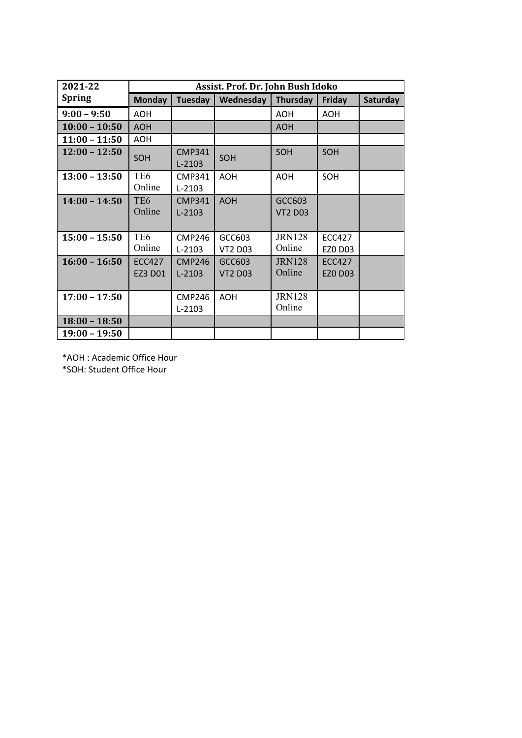| 2021-22         |                           |                             | Assist. Prof. Dr. John Bush Idoko |                          |                                 |          |
|-----------------|---------------------------|-----------------------------|-----------------------------------|--------------------------|---------------------------------|----------|
| <b>Spring</b>   | <b>Monday</b>             | <b>Tuesday</b>              | Wednesday                         | Thursday                 | Friday                          | Saturday |
| $9:00 - 9:50$   | <b>AOH</b>                |                             |                                   | <b>AOH</b>               | <b>AOH</b>                      |          |
| $10:00 - 10:50$ | <b>AOH</b>                |                             |                                   | <b>AOH</b>               |                                 |          |
| $11:00 - 11:50$ | <b>AOH</b>                |                             |                                   |                          |                                 |          |
| $12:00 - 12:50$ | <b>SOH</b>                | <b>CMP341</b><br>$L - 2103$ | SOH                               | SOH                      | SOH                             |          |
| $13:00 - 13:50$ | TE <sub>6</sub><br>Online | <b>CMP341</b><br>$L-2103$   | <b>AOH</b>                        | <b>AOH</b>               | SOH                             |          |
| $14:00 - 14:50$ | TE <sub>6</sub><br>Online | <b>CMP341</b><br>$L-2103$   | <b>AOH</b>                        | GCC603<br><b>VT2 D03</b> |                                 |          |
| $15:00 - 15:50$ | TE <sub>6</sub><br>Online | <b>CMP246</b><br>$L-2103$   | GCC603<br><b>VT2 D03</b>          | <b>JRN128</b><br>Online  | <b>ECC427</b><br><b>EZO D03</b> |          |
| $16:00 - 16:50$ | <b>ECC427</b><br>EZ3 D01  | <b>CMP246</b><br>$L-2103$   | GCC603<br><b>VT2 D03</b>          | <b>JRN128</b><br>Online  | <b>ECC427</b><br><b>EZO D03</b> |          |
| $17:00 - 17:50$ |                           | <b>CMP246</b><br>$L-2103$   | <b>AOH</b>                        | <b>JRN128</b><br>Online  |                                 |          |
| $18:00 - 18:50$ |                           |                             |                                   |                          |                                 |          |
| $19:00 - 19:50$ |                           |                             |                                   |                          |                                 |          |

\*AOH : Academic Office Hour

\*SOH: Student Office Hour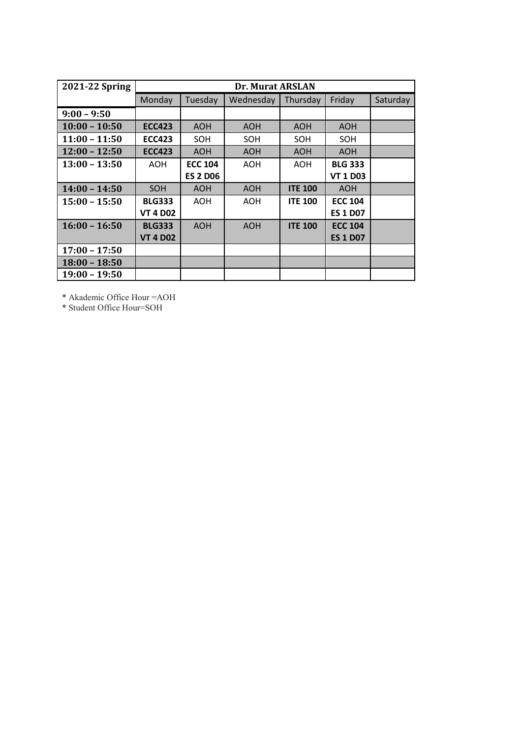| 2021-22 Spring  |                 |                 | Dr. Murat ARSLAN |                |                 |          |
|-----------------|-----------------|-----------------|------------------|----------------|-----------------|----------|
|                 | Monday          | Tuesday         | Wednesday        | Thursday       | Friday          | Saturday |
| $9:00 - 9:50$   |                 |                 |                  |                |                 |          |
| $10:00 - 10:50$ | <b>ECC423</b>   | <b>AOH</b>      | <b>AOH</b>       | <b>AOH</b>     | <b>AOH</b>      |          |
| $11:00 - 11:50$ | <b>ECC423</b>   | SOH             | SOH              | SOH            | SOH             |          |
| $12:00 - 12:50$ | <b>ECC423</b>   | <b>AOH</b>      | <b>AOH</b>       | <b>AOH</b>     | <b>AOH</b>      |          |
| $13:00 - 13:50$ | AOH             | <b>ECC 104</b>  | AOH              | AOH            | <b>BLG 333</b>  |          |
|                 |                 | <b>ES 2 D06</b> |                  |                | <b>VT 1 D03</b> |          |
| $14:00 - 14:50$ | <b>SOH</b>      | <b>AOH</b>      | <b>AOH</b>       | <b>ITE 100</b> | <b>AOH</b>      |          |
| $15:00 - 15:50$ | <b>BLG333</b>   | <b>AOH</b>      | AOH              | <b>ITE 100</b> | <b>ECC 104</b>  |          |
|                 | <b>VT 4 D02</b> |                 |                  |                | <b>ES 1 D07</b> |          |
| $16:00 - 16:50$ | <b>BLG333</b>   | <b>AOH</b>      | <b>AOH</b>       | <b>ITE 100</b> | <b>ECC 104</b>  |          |
|                 | <b>VT 4 D02</b> |                 |                  |                | <b>ES 1 D07</b> |          |
| $17:00 - 17:50$ |                 |                 |                  |                |                 |          |
| $18:00 - 18:50$ |                 |                 |                  |                |                 |          |
| $19:00 - 19:50$ |                 |                 |                  |                |                 |          |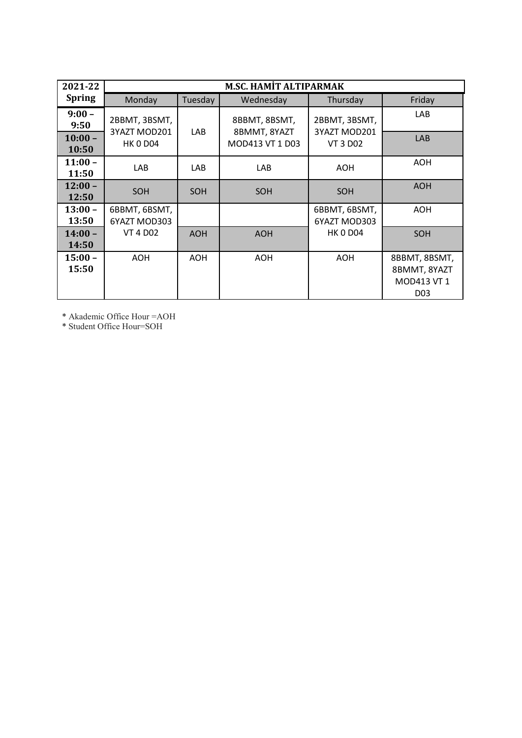| 2021-22            |                               |            | <b>M.SC. HAMIT ALTIPARMAK</b> |                               |                                                                 |
|--------------------|-------------------------------|------------|-------------------------------|-------------------------------|-----------------------------------------------------------------|
| <b>Spring</b>      | Monday                        | Tuesday    | Wednesday                     | Thursday                      | Friday                                                          |
| $9:00 -$<br>9:50   | 2BBMT, 3BSMT,<br>3YAZT MOD201 | LAB        | 8BBMT, 8BSMT,<br>8BMMT, 8YAZT | 2BBMT, 3BSMT,<br>3YAZT MOD201 | <b>LAB</b>                                                      |
| $10:00 -$<br>10:50 | <b>HK 0 D04</b>               |            | MOD413 VT 1 D03               | <b>VT 3 D02</b>               | <b>LAB</b>                                                      |
| $11:00 -$<br>11:50 | <b>LAB</b>                    | <b>LAB</b> | LAB                           | AOH                           | AOH                                                             |
| $12:00 -$<br>12:50 | <b>SOH</b>                    | <b>SOH</b> | SOH                           | SOH                           | <b>AOH</b>                                                      |
| $13:00 -$<br>13:50 | 6BBMT, 6BSMT,<br>6YAZT MOD303 |            |                               | 6BBMT, 6BSMT,<br>6YAZT MOD303 | <b>AOH</b>                                                      |
| $14:00 -$<br>14:50 | <b>VT 4 D02</b>               | <b>AOH</b> | <b>AOH</b>                    | <b>HK 0 D04</b>               | SOH                                                             |
| $15:00 -$<br>15:50 | <b>AOH</b>                    | <b>AOH</b> | <b>AOH</b>                    | <b>AOH</b>                    | 8BBMT, 8BSMT,<br>8BMMT, 8YAZT<br>MOD413 VT 1<br>D <sub>03</sub> |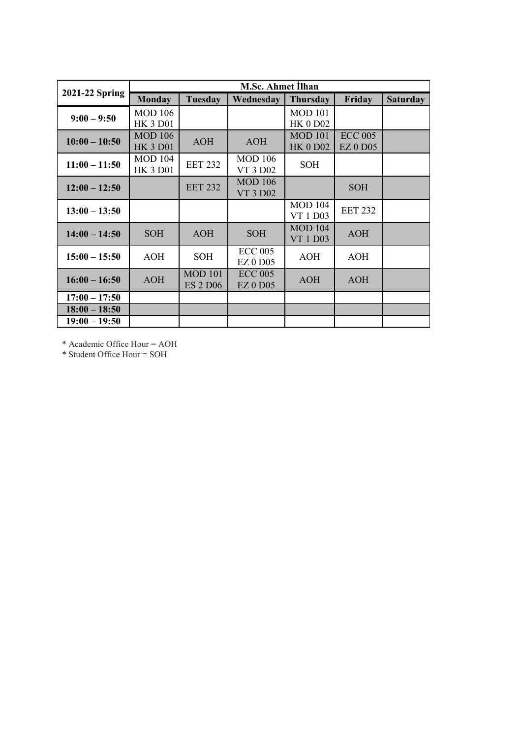|                 |                                   |                                   | <b>M.Sc. Ahmet Ilhan</b>          |                                   |                                   |                 |
|-----------------|-----------------------------------|-----------------------------------|-----------------------------------|-----------------------------------|-----------------------------------|-----------------|
| 2021-22 Spring  | <b>Monday</b>                     | <b>Tuesday</b>                    | Wednesday                         | <b>Thursday</b>                   | Friday                            | <b>Saturday</b> |
| $9:00 - 9:50$   | <b>MOD 106</b><br><b>HK 3 D01</b> |                                   |                                   | <b>MOD 101</b><br><b>HK 0 D02</b> |                                   |                 |
| $10:00 - 10:50$ | <b>MOD 106</b><br><b>HK 3 D01</b> | <b>AOH</b>                        | <b>AOH</b>                        | <b>MOD 101</b><br><b>HK 0 D02</b> | <b>ECC 005</b><br><b>EZ 0 D05</b> |                 |
| $11:00 - 11:50$ | <b>MOD 104</b><br><b>HK 3 D01</b> | <b>EET 232</b>                    | <b>MOD</b> 106<br>VT 3 D02        | <b>SOH</b>                        |                                   |                 |
| $12:00 - 12:50$ |                                   | <b>EET 232</b>                    | <b>MOD 106</b><br><b>VT 3 D02</b> |                                   | <b>SOH</b>                        |                 |
| $13:00 - 13:50$ |                                   |                                   |                                   | <b>MOD 104</b><br>VT 1 D03        | <b>EET 232</b>                    |                 |
| $14:00 - 14:50$ | <b>SOH</b>                        | <b>AOH</b>                        | <b>SOH</b>                        | <b>MOD 104</b><br>VT 1 D03        | <b>AOH</b>                        |                 |
| $15:00 - 15:50$ | AOH                               | <b>SOH</b>                        | <b>ECC 005</b><br><b>EZ 0 D05</b> | <b>AOH</b>                        | <b>AOH</b>                        |                 |
| $16:00 - 16:50$ | <b>AOH</b>                        | <b>MOD 101</b><br><b>ES 2 D06</b> | <b>ECC 005</b><br><b>EZ 0 D05</b> | AOH                               | AOH                               |                 |
| $17:00 - 17:50$ |                                   |                                   |                                   |                                   |                                   |                 |
| $18:00 - 18:50$ |                                   |                                   |                                   |                                   |                                   |                 |
| $19:00 - 19:50$ |                                   |                                   |                                   |                                   |                                   |                 |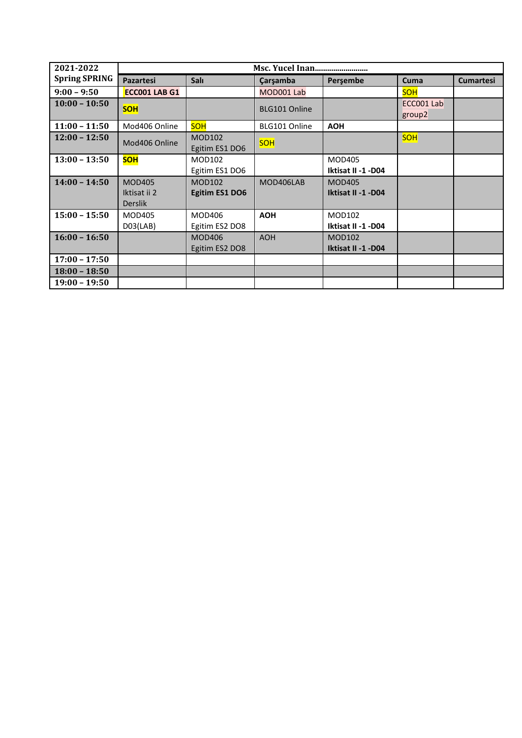| 2021-2022            |                                                 |                                 |               |                                     |                      |                  |
|----------------------|-------------------------------------------------|---------------------------------|---------------|-------------------------------------|----------------------|------------------|
| <b>Spring SPRING</b> | <b>Pazartesi</b>                                | <b>Salı</b>                     | Çarşamba      | Persembe                            | Cuma                 | <b>Cumartesi</b> |
| $9:00 - 9:50$        | ECC001 LAB G1                                   |                                 | MOD001 Lab    |                                     | <b>SOH</b>           |                  |
| $10:00 - 10:50$      | <b>SOH</b>                                      |                                 | BLG101 Online |                                     | ECC001 Lab<br>group2 |                  |
| $11:00 - 11:50$      | Mod406 Online                                   | <b>SOH</b>                      | BLG101 Online | <b>AOH</b>                          |                      |                  |
| $12:00 - 12:50$      | Mod406 Online                                   | <b>MOD102</b><br>Egitim ES1 DO6 | <b>SOH</b>    |                                     | <b>SOH</b>           |                  |
| $13:00 - 13:50$      | <b>SOH</b>                                      | MOD102<br>Egitim ES1 DO6        |               | <b>MOD405</b><br>Iktisat II -1 -D04 |                      |                  |
| $14:00 - 14:50$      | <b>MOD405</b><br>Iktisat ii 2<br><b>Derslik</b> | <b>MOD102</b><br>Egitim ES1 DO6 | MOD406LAB     | <b>MOD405</b><br>Iktisat II -1 -D04 |                      |                  |
| $15:00 - 15:50$      | <b>MOD405</b><br>D03(LAB)                       | MOD406<br>Egitim ES2 DO8        | <b>AOH</b>    | MOD102<br>Iktisat II -1 -D04        |                      |                  |
| $16:00 - 16:50$      |                                                 | <b>MOD406</b><br>Egitim ES2 DO8 | <b>AOH</b>    | <b>MOD102</b><br>Iktisat II -1 -D04 |                      |                  |
| $17:00 - 17:50$      |                                                 |                                 |               |                                     |                      |                  |
| $18:00 - 18:50$      |                                                 |                                 |               |                                     |                      |                  |
| $19:00 - 19:50$      |                                                 |                                 |               |                                     |                      |                  |